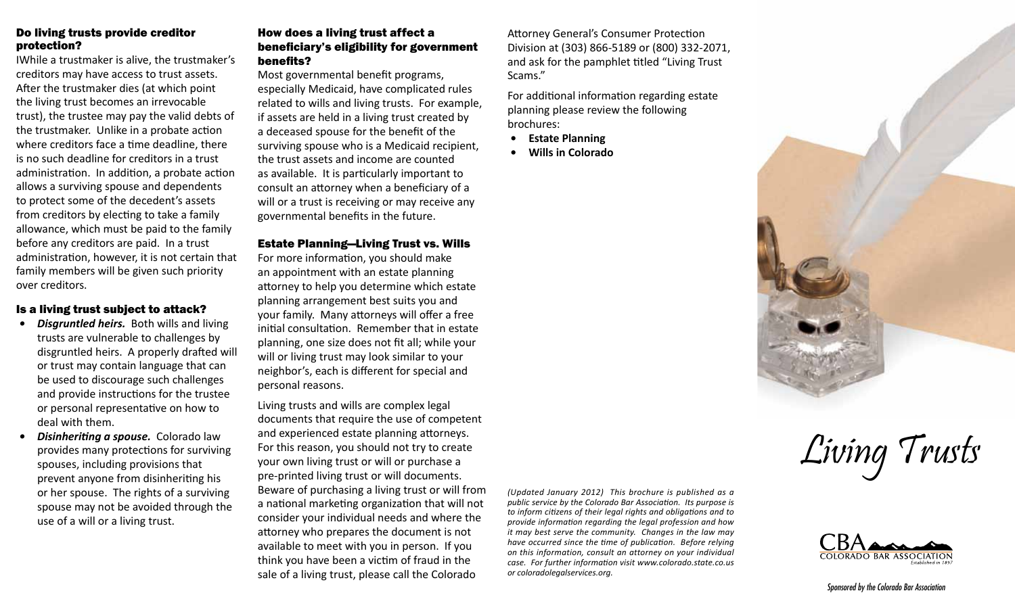# Do living trusts provide creditor protection?

IWhile a trustmaker is alive, the trustmaker's creditors may have access to trust assets. After the trustmaker dies (at which point the living trust becomes an irrevocable trust), the trustee may pay the valid debts of the trustmaker. Unlike in a probate action where creditors face a time deadline, there is no such deadline for creditors in a trust administration. In addition, a probate action allows a surviving spouse and dependents to protect some of the decedent's assets from creditors by electing to take a family allowance, which must be paid to the family before any creditors are paid. In a trust administration, however, it is not certain that family members will be given such priority over creditors.

#### Is a living trust subject to attack?

- *• Disgruntled heirs.* Both wills and living trusts are vulnerable to challenges by disgruntled heirs. A properly drafted will or trust may contain language that can be used to discourage such challenges and provide instructions for the trustee or personal representative on how to deal with them.
- *• Disinheriting a spouse.* Colorado law provides many protections for surviving spouses, including provisions that prevent anyone from disinheriting his or her spouse. The rights of a surviving spouse may not be avoided through the use of a will or a living trust.

# How does a living trust affect a beneficiary's eligibility for government benefits?

Most governmental benefit programs, especially Medicaid, have complicated rules related to wills and living trusts. For example, if assets are held in a living trust created by a deceased spouse for the benefit of the surviving spouse who is a Medicaid recipient, the trust assets and income are counted as available. It is particularly important to consult an attorney when a beneficiary of a will or a trust is receiving or may receive any governmental benefits in the future.

#### Estate Planning—Living Trust vs. Wills

For more information, you should make an appointment with an estate planning attorney to help you determine which estate planning arrangement best suits you and your family. Many attorneys will offer a free initial consultation. Remember that in estate planning, one size does not fit all; while your will or living trust may look similar to your neighbor's, each is different for special and personal reasons.

Living trusts and wills are complex legal documents that require the use of competent and experienced estate planning attorneys. For this reason, you should not try to create your own living trust or will or purchase a pre-printed living trust or will documents. Beware of purchasing a living trust or will from a national marketing organization that will not consider your individual needs and where the attorney who prepares the document is not available to meet with you in person. If you think you have been a victim of fraud in the sale of a living trust, please call the Colorado

*(Updated January 2012) This brochure is published as a public service by the Colorado Bar Association. Its purpose is to inform citizens of their legal rights and obligations and to provide information regarding the legal profession and how it may best serve the community. Changes in the law may have occurred since the time of publication. Before relying on this information, consult an attorney on your individual case. For further information visit www.colorado.state.co.us or coloradolegalservices.org.*

Attorney General's Consumer Protection Division at (303) 866-5189 or (800) 332-2071, and ask for the pamphlet titled "Living Trust

For additional information regarding estate

planning please review the following

Scams."

brochures:

**• Estate Planning • Wills in Colorado**



Living Trusts